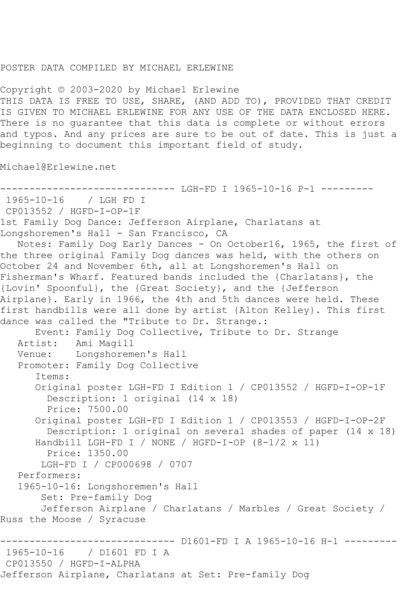## POSTER DATA COMPILED BY MICHAEL ERLEWINE

Copyright © 2003-2020 by Michael Erlewine THIS DATA IS FREE TO USE, SHARE, (AND ADD TO), PROVIDED THAT CREDIT IS GIVEN TO MICHAEL ERLEWINE FOR ANY USE OF THE DATA ENCLOSED HERE. There is no guarantee that this data is complete or without errors and typos. And any prices are sure to be out of date. This is just a beginning to document this important field of study.

Michael@Erlewine.net

```
------------------------------ LGH-FD I 1965-10-16 P-1 ---------
1965-10-16 / LGH FD I
CP013552 / HGFD-I-OP-1F
1st Family Dog Dance: Jefferson Airplane, Charlatans at 
Longshoremen's Hall - San Francisco, CA
   Notes: Family Dog Early Dances - On October16, 1965, the first of 
the three original Family Dog dances was held, with the others on 
October 24 and November 6th, all at Longshoremen's Hall on 
Fisherman's Wharf. Featured bands included the {Charlatans}, the 
{Lovin' Spoonful}, the {Great Society}, and the {Jefferson 
Airplane}. Early in 1966, the 4th and 5th dances were held. These 
first handbills were all done by artist {Alton Kelley}. This first 
dance was called the "Tribute to Dr. Strange.:
      Event: Family Dog Collective, Tribute to Dr. Strange
   Artist: Ami Magill
   Venue: Longshoremen's Hall
   Promoter: Family Dog Collective
       Items:
       Original poster LGH-FD I Edition 1 / CP013552 / HGFD-I-OP-1F
         Description: 1 original (14 x 18)
         Price: 7500.00
       Original poster LGH-FD I Edition 1 / CP013553 / HGFD-I-OP-2F
        Description: 1 original on several shades of paper (14 x 18)
      Handbill LGH-FD I / NONE / HGFD-I-OP (8-1/2 \times 11) Price: 1350.00
       LGH-FD I / CP000698 / 0707
   Performers:
   1965-10-16: Longshoremen's Hall
        Set: Pre-family Dog
       Jefferson Airplane / Charlatans / Marbles / Great Society / 
Russ the Moose / Syracuse
------------------------------ D1601-FD I A 1965-10-16 H-1 ---------
              / D1601 FD I A
CP013550 / HGFD-I-ALPHA
Jefferson Airplane, Charlatans at Set: Pre-family Dog
```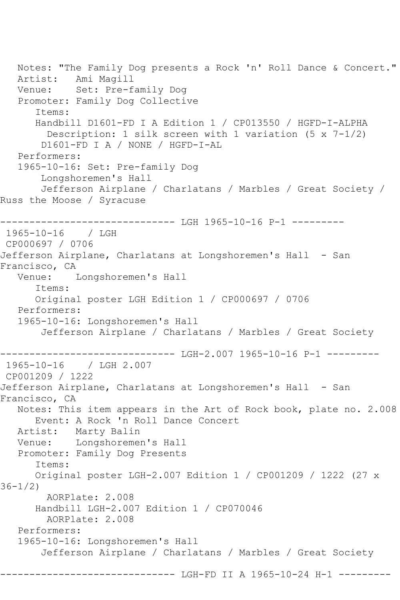Notes: "The Family Dog presents a Rock 'n' Roll Dance & Concert." Artist: Ami Magill Venue: Set: Pre-family Dog Promoter: Family Dog Collective Items: Handbill D1601-FD I A Edition 1 / CP013550 / HGFD-I-ALPHA Description: 1 silk screen with 1 variation (5 x 7-1/2) D1601-FD I A / NONE / HGFD-I-AL Performers: 1965-10-16: Set: Pre-family Dog Longshoremen's Hall Jefferson Airplane / Charlatans / Marbles / Great Society / Russ the Moose / Syracuse ------------------------------ LGH 1965-10-16 P-1 --------- 1965-10-16 / LGH CP000697 / 0706 Jefferson Airplane, Charlatans at Longshoremen's Hall - San Francisco, CA<br>Venue: I Longshoremen's Hall Items: Original poster LGH Edition 1 / CP000697 / 0706 Performers: 1965-10-16: Longshoremen's Hall Jefferson Airplane / Charlatans / Marbles / Great Society ------------------------------ LGH-2.007 1965-10-16 P-1 --------- 1965-10-16 / LGH 2.007 CP001209 / 1222 Jefferson Airplane, Charlatans at Longshoremen's Hall - San Francisco, CA Notes: This item appears in the Art of Rock book, plate no. 2.008 Event: A Rock 'n Roll Dance Concert Artist: Marty Balin Venue: Longshoremen's Hall Promoter: Family Dog Presents Items: Original poster LGH-2.007 Edition 1 / CP001209 / 1222 (27 x 36-1/2) AORPlate: 2.008 Handbill LGH-2.007 Edition 1 / CP070046 AORPlate: 2.008 Performers: 1965-10-16: Longshoremen's Hall Jefferson Airplane / Charlatans / Marbles / Great Society -------------- LGH-FD II A 1965-10-24 H-1 ---------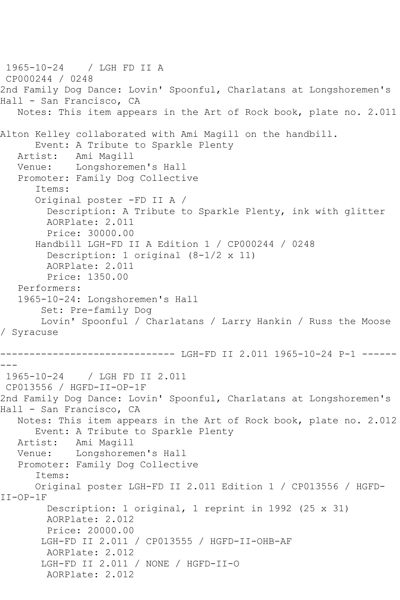1965-10-24 / LGH FD II A CP000244 / 0248 2nd Family Dog Dance: Lovin' Spoonful, Charlatans at Longshoremen's Hall - San Francisco, CA Notes: This item appears in the Art of Rock book, plate no. 2.011 Alton Kelley collaborated with Ami Magill on the handbill. Event: A Tribute to Sparkle Plenty Artist: Ami Magill Venue: Longshoremen's Hall Promoter: Family Dog Collective Items: Original poster -FD II A / Description: A Tribute to Sparkle Plenty, ink with glitter AORPlate: 2.011 Price: 30000.00 Handbill LGH-FD II A Edition 1 / CP000244 / 0248 Description: 1 original (8-1/2 x 11) AORPlate: 2.011 Price: 1350.00 Performers: 1965-10-24: Longshoremen's Hall Set: Pre-family Dog Lovin' Spoonful / Charlatans / Larry Hankin / Russ the Moose / Syracuse ------------------------------ LGH-FD II 2.011 1965-10-24 P-1 ------ --- 1965-10-24 / LGH FD II 2.011 CP013556 / HGFD-II-OP-1F 2nd Family Dog Dance: Lovin' Spoonful, Charlatans at Longshoremen's Hall - San Francisco, CA Notes: This item appears in the Art of Rock book, plate no. 2.012 Event: A Tribute to Sparkle Plenty Artist: Ami Magill Venue: Longshoremen's Hall Promoter: Family Dog Collective Items: Original poster LGH-FD II 2.011 Edition 1 / CP013556 / HGFD-II-OP-1F Description: 1 original, 1 reprint in 1992 (25 x 31) AORPlate: 2.012 Price: 20000.00 LGH-FD II 2.011 / CP013555 / HGFD-II-OHB-AF AORPlate: 2.012 LGH-FD II 2.011 / NONE / HGFD-II-O AORPlate: 2.012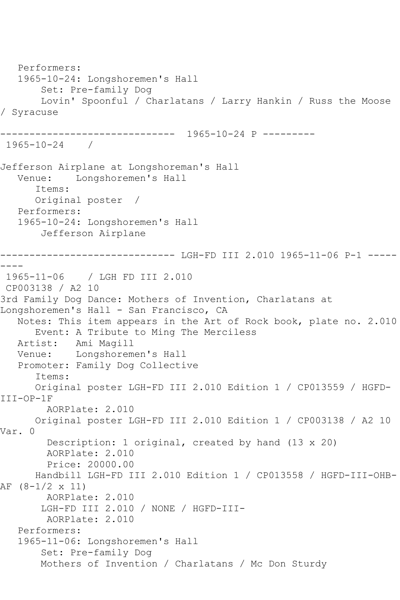```
 Performers:
   1965-10-24: Longshoremen's Hall
        Set: Pre-family Dog
        Lovin' Spoonful / Charlatans / Larry Hankin / Russ the Moose 
/ Syracuse
------------------------------ 1965-10-24 P ---------
1965-10-24 / 
Jefferson Airplane at Longshoreman's Hall
            Longshoremen's Hall
       Items:
      Original poster / 
   Performers:
   1965-10-24: Longshoremen's Hall
        Jefferson Airplane
------------------------------ LGH-FD III 2.010 1965-11-06 P-1 -----
----
1965-11-06 / LGH FD III 2.010
CP003138 / A2 10
3rd Family Dog Dance: Mothers of Invention, Charlatans at 
Longshoremen's Hall - San Francisco, CA
   Notes: This item appears in the Art of Rock book, plate no. 2.010
      Event: A Tribute to Ming The Merciless
   Artist: Ami Magill
   Venue: Longshoremen's Hall
   Promoter: Family Dog Collective
       Items:
       Original poster LGH-FD III 2.010 Edition 1 / CP013559 / HGFD-
III-OP-1F
         AORPlate: 2.010 
      Original poster LGH-FD III 2.010 Edition 1 / CP003138 / A2 10 
Var. 0
         Description: 1 original, created by hand (13 x 20)
        AORPlate: 2.010 
         Price: 20000.00
       Handbill LGH-FD III 2.010 Edition 1 / CP013558 / HGFD-III-OHB-
AF (8-1/2 x 11)
        AORPlate: 2.010 
        LGH-FD III 2.010 / NONE / HGFD-III-
         AORPlate: 2.010 
   Performers:
   1965-11-06: Longshoremen's Hall
        Set: Pre-family Dog
       Mothers of Invention / Charlatans / Mc Don Sturdy
```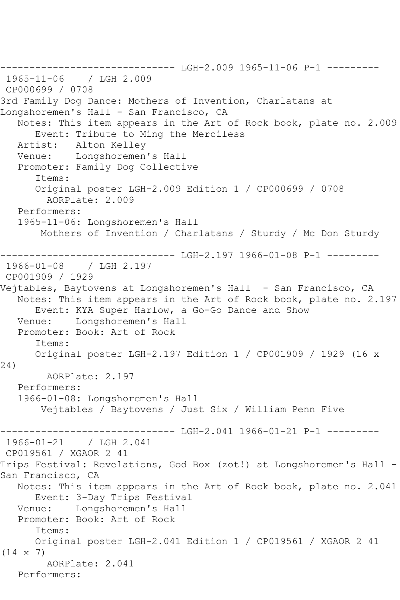------------------------------ LGH-2.009 1965-11-06 P-1 --------- 1965-11-06 / LGH 2.009 CP000699 / 0708 3rd Family Dog Dance: Mothers of Invention, Charlatans at Longshoremen's Hall - San Francisco, CA Notes: This item appears in the Art of Rock book, plate no. 2.009 Event: Tribute to Ming the Merciless Artist: Alton Kelley Venue: Longshoremen's Hall Promoter: Family Dog Collective Items: Original poster LGH-2.009 Edition 1 / CP000699 / 0708 AORPlate: 2.009 Performers: 1965-11-06: Longshoremen's Hall Mothers of Invention / Charlatans / Sturdy / Mc Don Sturdy ------------------------------ LGH-2.197 1966-01-08 P-1 --------- 1966-01-08 / LGH 2.197 CP001909 / 1929 Vejtables, Baytovens at Longshoremen's Hall - San Francisco, CA Notes: This item appears in the Art of Rock book, plate no. 2.197 Event: KYA Super Harlow, a Go-Go Dance and Show Venue: Longshoremen's Hall Promoter: Book: Art of Rock Items: Original poster LGH-2.197 Edition 1 / CP001909 / 1929 (16 x 24) AORPlate: 2.197 Performers: 1966-01-08: Longshoremen's Hall Vejtables / Baytovens / Just Six / William Penn Five ----------------------------- LGH-2.041 1966-01-21 P-1 ---------1966-01-21 / LGH 2.041 CP019561 / XGAOR 2 41 Trips Festival: Revelations, God Box (zot!) at Longshoremen's Hall - San Francisco, CA Notes: This item appears in the Art of Rock book, plate no. 2.041 Event: 3-Day Trips Festival<br>Venue: Longshoremen's Hall Longshoremen's Hall Promoter: Book: Art of Rock Items: Original poster LGH-2.041 Edition 1 / CP019561 / XGAOR 2 41 (14 x 7) AORPlate: 2.041 Performers: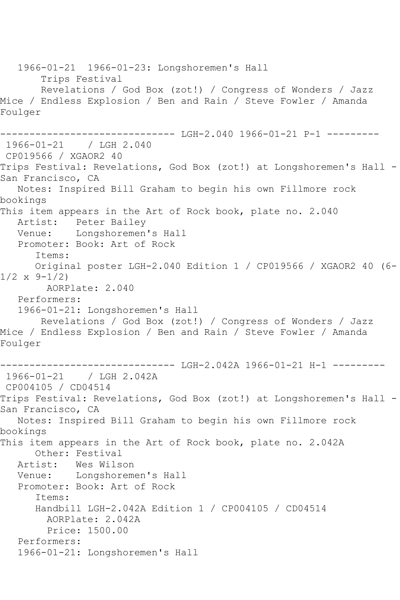1966-01-21 1966-01-23: Longshoremen's Hall Trips Festival Revelations / God Box (zot!) / Congress of Wonders / Jazz Mice / Endless Explosion / Ben and Rain / Steve Fowler / Amanda Foulger ------------------------------ LGH-2.040 1966-01-21 P-1 --------- 1966-01-21 / LGH 2.040 CP019566 / XGAOR2 40 Trips Festival: Revelations, God Box (zot!) at Longshoremen's Hall - San Francisco, CA Notes: Inspired Bill Graham to begin his own Fillmore rock bookings This item appears in the Art of Rock book, plate no. 2.040 Artist: Peter Bailey Venue: Longshoremen's Hall Promoter: Book: Art of Rock Items: Original poster LGH-2.040 Edition 1 / CP019566 / XGAOR2 40 (6-  $1/2 \times 9 - 1/2$  AORPlate: 2.040 Performers: 1966-01-21: Longshoremen's Hall Revelations / God Box (zot!) / Congress of Wonders / Jazz Mice / Endless Explosion / Ben and Rain / Steve Fowler / Amanda Foulger ------------------------------ LGH-2.042A 1966-01-21 H-1 --------- 1966-01-21 / LGH 2.042A CP004105 / CD04514 Trips Festival: Revelations, God Box (zot!) at Longshoremen's Hall - San Francisco, CA Notes: Inspired Bill Graham to begin his own Fillmore rock bookings This item appears in the Art of Rock book, plate no. 2.042A Other: Festival<br>Artist: Wes Wilso Wes Wilson Venue: Longshoremen's Hall Promoter: Book: Art of Rock Items: Handbill LGH-2.042A Edition 1 / CP004105 / CD04514 AORPlate: 2.042A Price: 1500.00 Performers: 1966-01-21: Longshoremen's Hall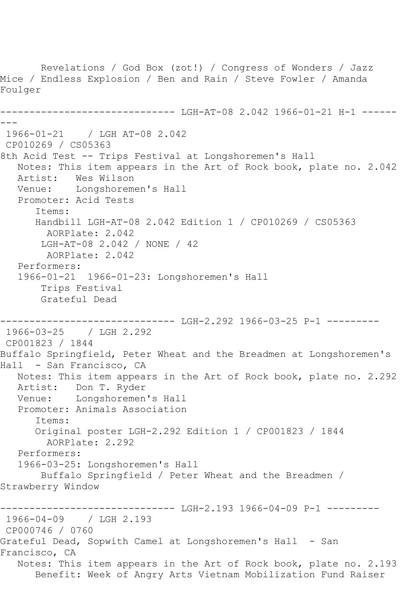Revelations / God Box (zot!) / Congress of Wonders / Jazz Mice / Endless Explosion / Ben and Rain / Steve Fowler / Amanda Foulger ------------------------------ LGH-AT-08 2.042 1966-01-21 H-1 ------ --- 1966-01-21 / LGH AT-08 2.042 CP010269 / CS05363 8th Acid Test -- Trips Festival at Longshoremen's Hall Notes: This item appears in the Art of Rock book, plate no. 2.042<br>Artist: Wes Wilson Artist: Wes Wilson<br>Venue: Longshorem Longshoremen's Hall Promoter: Acid Tests Items: Handbill LGH-AT-08 2.042 Edition 1 / CP010269 / CS05363 AORPlate: 2.042 LGH-AT-08 2.042 / NONE / 42 AORPlate: 2.042 Performers: 1966-01-21 1966-01-23: Longshoremen's Hall Trips Festival Grateful Dead ------------------------------ LGH-2.292 1966-03-25 P-1 --------- 1966-03-25 / LGH 2.292 CP001823 / 1844 Buffalo Springfield, Peter Wheat and the Breadmen at Longshoremen's Hall - San Francisco, CA Notes: This item appears in the Art of Rock book, plate no. 2.292 Artist: Don T. Ryder Venue: Longshoremen's Hall Promoter: Animals Association Items: Original poster LGH-2.292 Edition 1 / CP001823 / 1844 AORPlate: 2.292 Performers: 1966-03-25: Longshoremen's Hall Buffalo Springfield / Peter Wheat and the Breadmen / Strawberry Window ----------- LGH-2.193 1966-04-09 P-1 ---------1966-04-09 / LGH 2.193 CP000746 / 0760 Grateful Dead, Sopwith Camel at Longshoremen's Hall - San Francisco, CA Notes: This item appears in the Art of Rock book, plate no. 2.193 Benefit: Week of Angry Arts Vietnam Mobilization Fund Raiser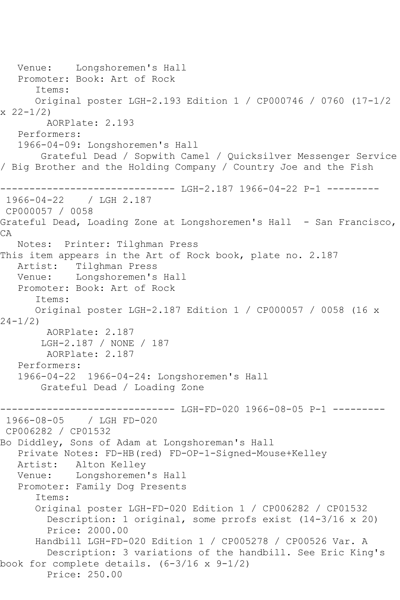Venue: Longshoremen's Hall Promoter: Book: Art of Rock Items: Original poster LGH-2.193 Edition 1 / CP000746 / 0760 (17-1/2  $x \ 22 - 1/2$  AORPlate: 2.193 Performers: 1966-04-09: Longshoremen's Hall Grateful Dead / Sopwith Camel / Quicksilver Messenger Service / Big Brother and the Holding Company / Country Joe and the Fish ------------------------------ LGH-2.187 1966-04-22 P-1 --------- 1966-04-22 / LGH 2.187 CP000057 / 0058 Grateful Dead, Loading Zone at Longshoremen's Hall - San Francisco, CA Notes: Printer: Tilghman Press This item appears in the Art of Rock book, plate no. 2.187 Artist: Tilghman Press Venue: Longshoremen's Hall Promoter: Book: Art of Rock Items: Original poster LGH-2.187 Edition 1 / CP000057 / 0058 (16 x 24-1/2) AORPlate: 2.187 LGH-2.187 / NONE / 187 AORPlate: 2.187 Performers: 1966-04-22 1966-04-24: Longshoremen's Hall Grateful Dead / Loading Zone -------------- LGH-FD-020 1966-08-05 P-1 ---------1966-08-05 / LGH FD-020 CP006282 / CP01532 Bo Diddley, Sons of Adam at Longshoreman's Hall Private Notes: FD-HB(red) FD-OP-1-Signed-Mouse+Kelley Artist: Alton Kelley Venue: Longshoremen's Hall Promoter: Family Dog Presents Items: Original poster LGH-FD-020 Edition 1 / CP006282 / CP01532 Description: 1 original, some prrofs exist (14-3/16 x 20) Price: 2000.00 Handbill LGH-FD-020 Edition 1 / CP005278 / CP00526 Var. A Description: 3 variations of the handbill. See Eric King's book for complete details. (6-3/16 x 9-1/2) Price: 250.00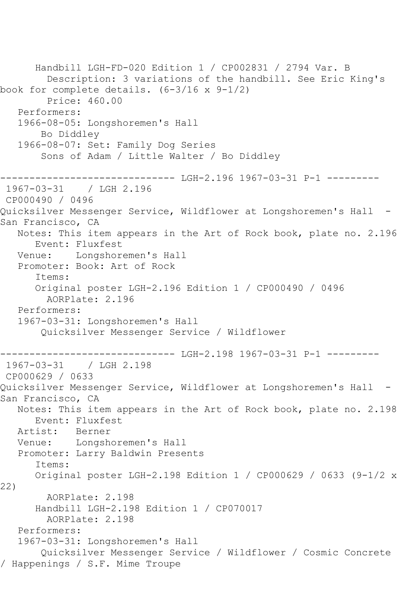Handbill LGH-FD-020 Edition 1 / CP002831 / 2794 Var. B Description: 3 variations of the handbill. See Eric King's book for complete details. (6-3/16 x 9-1/2) Price: 460.00 Performers: 1966-08-05: Longshoremen's Hall Bo Diddley 1966-08-07: Set: Family Dog Series Sons of Adam / Little Walter / Bo Diddley ------------------------------ LGH-2.196 1967-03-31 P-1 --------- 1967-03-31 / LGH 2.196 CP000490 / 0496 Quicksilver Messenger Service, Wildflower at Longshoremen's Hall - San Francisco, CA Notes: This item appears in the Art of Rock book, plate no. 2.196 Event: Fluxfest Venue: Longshoremen's Hall Promoter: Book: Art of Rock Items: Original poster LGH-2.196 Edition 1 / CP000490 / 0496 AORPlate: 2.196 Performers: 1967-03-31: Longshoremen's Hall Quicksilver Messenger Service / Wildflower ------------------------------ LGH-2.198 1967-03-31 P-1 --------- 1967-03-31 / LGH 2.198 CP000629 / 0633 Quicksilver Messenger Service, Wildflower at Longshoremen's Hall - San Francisco, CA Notes: This item appears in the Art of Rock book, plate no. 2.198 Event: Fluxfest<br>ist: Berner Artist: Venue: Longshoremen's Hall Promoter: Larry Baldwin Presents Items: Original poster LGH-2.198 Edition 1 / CP000629 / 0633 (9-1/2 x 22) AORPlate: 2.198 Handbill LGH-2.198 Edition 1 / CP070017 AORPlate: 2.198 Performers: 1967-03-31: Longshoremen's Hall Quicksilver Messenger Service / Wildflower / Cosmic Concrete / Happenings / S.F. Mime Troupe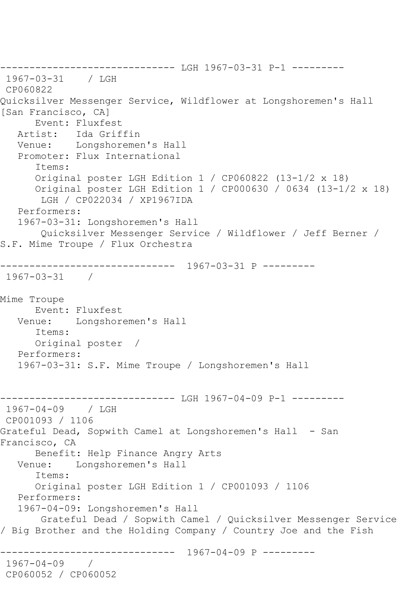------------------------------ LGH 1967-03-31 P-1 --------- 1967-03-31 / LGH CP060822 Quicksilver Messenger Service, Wildflower at Longshoremen's Hall [San Francisco, CA] Event: Fluxfest Artist: Ida Griffin Venue: Longshoremen's Hall Promoter: Flux International Items: Original poster LGH Edition 1 / CP060822 (13-1/2 x 18) Original poster LGH Edition 1 / CP000630 / 0634 (13-1/2 x 18) LGH / CP022034 / XP1967IDA Performers: 1967-03-31: Longshoremen's Hall Quicksilver Messenger Service / Wildflower / Jeff Berner / S.F. Mime Troupe / Flux Orchestra ------------------------------ 1967-03-31 P --------- 1967-03-31 / Mime Troupe Event: Fluxfest Venue: Longshoremen's Hall Items: Original poster / Performers: 1967-03-31: S.F. Mime Troupe / Longshoremen's Hall ------------------------------ LGH 1967-04-09 P-1 --------- 1967-04-09 / LGH CP001093 / 1106 Grateful Dead, Sopwith Camel at Longshoremen's Hall - San Francisco, CA Benefit: Help Finance Angry Arts Venue: Longshoremen's Hall Items: Original poster LGH Edition 1 / CP001093 / 1106 Performers: 1967-04-09: Longshoremen's Hall Grateful Dead / Sopwith Camel / Quicksilver Messenger Service / Big Brother and the Holding Company / Country Joe and the Fish ------------------------------ 1967-04-09 P --------- 1967-04-09 / CP060052 / CP060052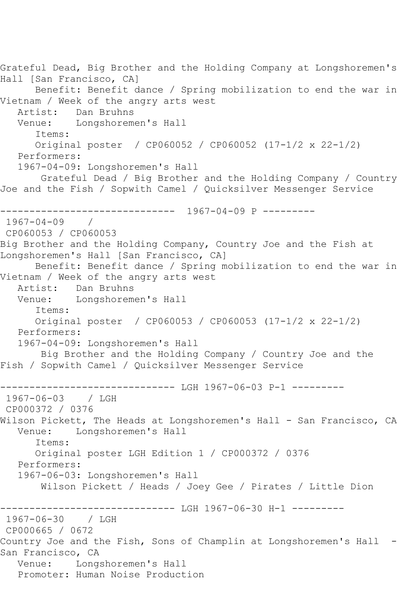Grateful Dead, Big Brother and the Holding Company at Longshoremen's Hall [San Francisco, CA] Benefit: Benefit dance / Spring mobilization to end the war in Vietnam / Week of the angry arts west Artist: Dan Bruhns Venue: Longshoremen's Hall Items: Original poster / CP060052 / CP060052 (17-1/2 x 22-1/2) Performers: 1967-04-09: Longshoremen's Hall Grateful Dead / Big Brother and the Holding Company / Country Joe and the Fish / Sopwith Camel / Quicksilver Messenger Service ------------------------------ 1967-04-09 P --------- 1967-04-09 / CP060053 / CP060053 Big Brother and the Holding Company, Country Joe and the Fish at Longshoremen's Hall [San Francisco, CA] Benefit: Benefit dance / Spring mobilization to end the war in Vietnam / Week of the angry arts west Artist: Dan Bruhns Venue: Longshoremen's Hall Items: Original poster / CP060053 / CP060053 (17-1/2 x 22-1/2) Performers: 1967-04-09: Longshoremen's Hall Big Brother and the Holding Company / Country Joe and the Fish / Sopwith Camel / Quicksilver Messenger Service ------------------------------ LGH 1967-06-03 P-1 --------- 1967-06-03 / LGH CP000372 / 0376 Wilson Pickett, The Heads at Longshoremen's Hall - San Francisco, CA<br>Venue: Longshoremen's Hall Longshoremen's Hall Items: Original poster LGH Edition 1 / CP000372 / 0376 Performers: 1967-06-03: Longshoremen's Hall Wilson Pickett / Heads / Joey Gee / Pirates / Little Dion ------------ LGH 1967-06-30 H-1 ---------1967-06-30 / LGH CP000665 / 0672 Country Joe and the Fish, Sons of Champlin at Longshoremen's Hall - San Francisco, CA Venue: Longshoremen's Hall Promoter: Human Noise Production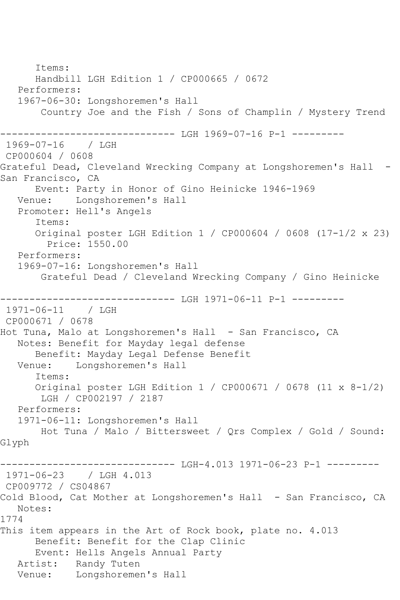Items: Handbill LGH Edition 1 / CP000665 / 0672 Performers: 1967-06-30: Longshoremen's Hall Country Joe and the Fish / Sons of Champlin / Mystery Trend ------------------------------ LGH 1969-07-16 P-1 --------- 1969-07-16 / LGH CP000604 / 0608 Grateful Dead, Cleveland Wrecking Company at Longshoremen's Hall -San Francisco, CA Event: Party in Honor of Gino Heinicke 1946-1969 Venue: Longshoremen's Hall Promoter: Hell's Angels Items: Original poster LGH Edition 1 / CP000604 / 0608 (17-1/2 x 23) Price: 1550.00 Performers: 1969-07-16: Longshoremen's Hall Grateful Dead / Cleveland Wrecking Company / Gino Heinicke ------------------------------ LGH 1971-06-11 P-1 --------- 1971-06-11 / LGH CP000671 / 0678 Hot Tuna, Malo at Longshoremen's Hall - San Francisco, CA Notes: Benefit for Mayday legal defense Benefit: Mayday Legal Defense Benefit Venue: Longshoremen's Hall Items: Original poster LGH Edition 1 / CP000671 / 0678 (11 x 8-1/2) LGH / CP002197 / 2187 Performers: 1971-06-11: Longshoremen's Hall Hot Tuna / Malo / Bittersweet / Qrs Complex / Gold / Sound: Glyph ------------------------------ LGH-4.013 1971-06-23 P-1 --------- 1971-06-23 / LGH 4.013 CP009772 / CS04867 Cold Blood, Cat Mother at Longshoremen's Hall - San Francisco, CA Notes: 1774 This item appears in the Art of Rock book, plate no. 4.013 Benefit: Benefit for the Clap Clinic Event: Hells Angels Annual Party Artist: Randy Tuten Venue: Longshoremen's Hall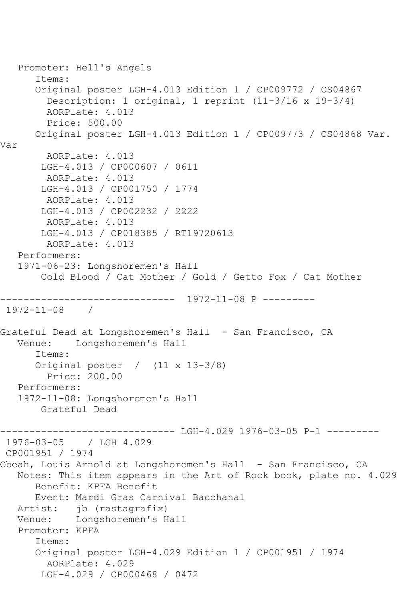Promoter: Hell's Angels Items: Original poster LGH-4.013 Edition 1 / CP009772 / CS04867 Description: 1 original, 1 reprint (11-3/16 x 19-3/4) AORPlate: 4.013 Price: 500.00 Original poster LGH-4.013 Edition 1 / CP009773 / CS04868 Var. Var AORPlate: 4.013 LGH-4.013 / CP000607 / 0611 AORPlate: 4.013 LGH-4.013 / CP001750 / 1774 AORPlate: 4.013 LGH-4.013 / CP002232 / 2222 AORPlate: 4.013 LGH-4.013 / CP018385 / RT19720613 AORPlate: 4.013 Performers: 1971-06-23: Longshoremen's Hall Cold Blood / Cat Mother / Gold / Getto Fox / Cat Mother ------------------------------ 1972-11-08 P --------- 1972-11-08 / Grateful Dead at Longshoremen's Hall - San Francisco, CA Venue: Longshoremen's Hall Items: Original poster / (11 x 13-3/8) Price: 200.00 Performers: 1972-11-08: Longshoremen's Hall Grateful Dead ------------------------------ LGH-4.029 1976-03-05 P-1 --------- 1976-03-05 / LGH 4.029 CP001951 / 1974 Obeah, Louis Arnold at Longshoremen's Hall - San Francisco, CA Notes: This item appears in the Art of Rock book, plate no. 4.029 Benefit: KPFA Benefit Event: Mardi Gras Carnival Bacchanal Artist: jb (rastagrafix) Venue: Longshoremen's Hall Promoter: KPFA Items: Original poster LGH-4.029 Edition 1 / CP001951 / 1974 AORPlate: 4.029 LGH-4.029 / CP000468 / 0472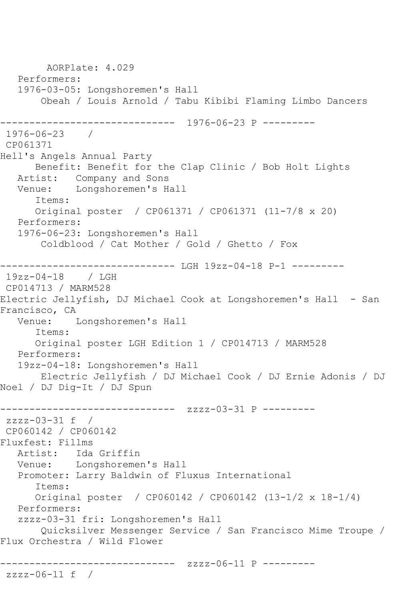AORPlate: 4.029 Performers: 1976-03-05: Longshoremen's Hall Obeah / Louis Arnold / Tabu Kibibi Flaming Limbo Dancers ------------------------------ 1976-06-23 P --------- 1976-06-23 / CP061371 Hell's Angels Annual Party Benefit: Benefit for the Clap Clinic / Bob Holt Lights Artist: Company and Sons Venue: Longshoremen's Hall Items: Original poster / CP061371 / CP061371 (11-7/8 x 20) Performers: 1976-06-23: Longshoremen's Hall Coldblood / Cat Mother / Gold / Ghetto / Fox ------------------------------ LGH 19zz-04-18 P-1 --------- 19zz-04-18 / LGH CP014713 / MARM528 Electric Jellyfish, DJ Michael Cook at Longshoremen's Hall - San Francisco, CA<br>Venue: 1 Longshoremen's Hall Items: Original poster LGH Edition 1 / CP014713 / MARM528 Performers: 19zz-04-18: Longshoremen's Hall Electric Jellyfish / DJ Michael Cook / DJ Ernie Adonis / DJ Noel / DJ Dig-It / DJ Spun ------------------------------ zzzz-03-31 P -------- zzzz-03-31 f / CP060142 / CP060142 Fluxfest: Fillms Artist: Ida Griffin Venue: Longshoremen's Hall Promoter: Larry Baldwin of Fluxus International Items: Original poster / CP060142 / CP060142 (13-1/2 x 18-1/4) Performers: zzzz-03-31 fri: Longshoremen's Hall Quicksilver Messenger Service / San Francisco Mime Troupe / Flux Orchestra / Wild Flower ------------------------------ zzzz-06-11 P -------- zzzz-06-11 f /